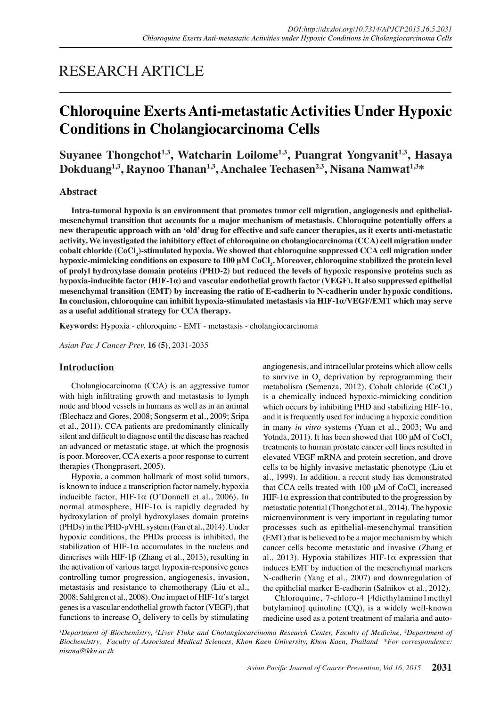# RESEARCH ARTICLE

# **Chloroquine Exerts Anti-metastatic Activities Under Hypoxic Conditions in Cholangiocarcinoma Cells**

**Suyanee Thongchot1,3, Watcharin Loilome1,3, Puangrat Yongvanit1,3, Hasaya Dokduang1,3, Raynoo Thanan1,3, Anchalee Techasen2,3, Nisana Namwat1,3\***

# **Abstract**

**Intra-tumoral hypoxia is an environment that promotes tumor cell migration, angiogenesis and epithelialmesenchymal transition that accounts for a major mechanism of metastasis. Chloroquine potentially offers a new therapeutic approach with an 'old' drug for effective and safe cancer therapies, as it exerts anti-metastatic activity. We investigated the inhibitory effect of chloroquine on cholangiocarcinoma (CCA) cell migration under cobalt chloride (CoCl2 )-stimulated hypoxia. We showed that chloroquine suppressed CCA cell migration under hypoxic-mimicking conditions on exposure to 100 μM CoCl<sup>2</sup> . Moreover, chloroquine stabilized the protein level of prolyl hydroxylase domain proteins (PHD-2) but reduced the levels of hypoxic responsive proteins such as hypoxia-inducible factor (HIF-1α) and vascular endothelial growth factor (VEGF). It also suppressed epithelial mesenchymal transition (EMT) by increasing the ratio of E-cadherin to N-cadherin under hypoxic conditions. In conclusion, chloroquine can inhibit hypoxia-stimulated metastasis via HIF-1α/VEGF/EMT which may serve as a useful additional strategy for CCA therapy.**

**Keywords:** Hypoxia - chloroquine - EMT - metastasis - cholangiocarcinoma

*Asian Pac J Cancer Prev,* **16 (5)**, 2031-2035

## **Introduction**

Cholangiocarcinoma (CCA) is an aggressive tumor with high infiltrating growth and metastasis to lymph node and blood vessels in humans as well as in an animal (Blechacz and Gores, 2008; Songserm et al., 2009; Sripa et al., 2011). CCA patients are predominantly clinically silent and difficult to diagnose until the disease has reached an advanced or metastatic stage, at which the prognosis is poor. Moreover, CCA exerts a poor response to current therapies (Thongprasert, 2005).

Hypoxia, a common hallmark of most solid tumors, is known to induce a transcription factor namely, hypoxia inducible factor, HIF-1 $\alpha$  (O'Donnell et al., 2006). In normal atmosphere, HIF-1 $\alpha$  is rapidly degraded by hydroxylation of prolyl hydroxylases domain proteins (PHDs) in the PHD-pVHL system (Fan et al., 2014). Under hypoxic conditions, the PHDs process is inhibited, the stabilization of HIF-1 $\alpha$  accumulates in the nucleus and dimerises with HIF-1 $\beta$  (Zhang et al., 2013), resulting in the activation of various target hypoxia-responsive genes controlling tumor progression, angiogenesis, invasion, metastasis and resistance to chemotherapy (Liu et al., 2008; Sahlgren et al., 2008). One impact of HIF-1 $\alpha$ 's target genes is a vascular endothelial growth factor (VEGF), that functions to increase  $O_2$  delivery to cells by stimulating angiogenesis, and intracellular proteins which allow cells to survive in  $O_2$  deprivation by reprogramming their metabolism (Semenza, 2012). Cobalt chloride  $(CoCl<sub>2</sub>)$ is a chemically induced hypoxic-mimicking condition which occurs by inhibiting PHD and stabilizing HIF-1 $\alpha$ , and it is frequently used for inducing a hypoxic condition in many *in vitro* systems (Yuan et al., 2003; Wu and Yotnda, 2011). It has been showed that 100  $\mu$ M of CoCl<sub>2</sub> treatments to human prostate cancer cell lines resulted in elevated VEGF mRNA and protein secretion, and drove cells to be highly invasive metastatic phenotype (Liu et al., 1999). In addition, a recent study has demonstrated that CCA cells treated with 100  $\mu$ M of CoCl<sub>2</sub> increased HIF-1 $\alpha$  expression that contributed to the progression by metastatic potential (Thongchot et al., 2014). The hypoxic microenvironment is very important in regulating tumor processes such as epithelial-mesenchymal transition (EMT) that is believed to be a major mechanism by which cancer cells become metastatic and invasive (Zhang et al., 2013). Hypoxia stabilizes HIF-1 $\alpha$  expression that induces EMT by induction of the mesenchymal markers N-cadherin (Yang et al., 2007) and downregulation of the epithelial marker E-cadherin (Salnikov et al., 2012).

Chloroquine, 7-chloro-4 [4diethylamino1methyl butylamino] quinoline (CQ), is a widely well-known medicine used as a potent treatment of malaria and auto-

<sup>*I*</sup>Department of Biochemistry, <sup>3</sup>Liver Fluke and Cholangiocarcinoma Research Center, Faculty of Medicine, <sup>2</sup>Department of *Biochemistry, Faculty of Associated Medical Sciences, Khon Kaen University, Khon Kaen, Thailand \*For correspondence: nisana@kku.ac.th*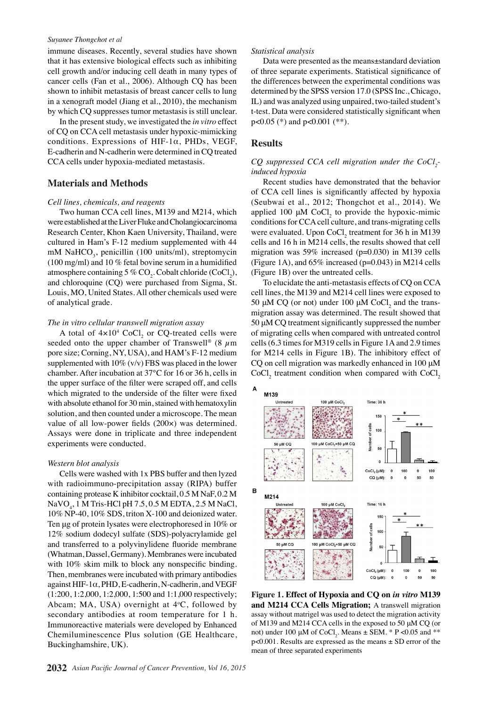#### *Suyanee Thongchot et al*

immune diseases. Recently, several studies have shown that it has extensive biological effects such as inhibiting cell growth and/or inducing cell death in many types of cancer cells (Fan et al., 2006). Although CQ has been shown to inhibit metastasis of breast cancer cells to lung in a xenograft model (Jiang et al., 2010), the mechanism by which CQ suppresses tumor metastasis is still unclear.

In the present study, we investigated the *in vitro* effect of CQ on CCA cell metastasis under hypoxic-mimicking conditions. Expressions of HIF-1α, PHDs, VEGF, E-cadherin and N-cadherin were determined in CQ treated CCA cells under hypoxia-mediated metastasis.

## **Materials and Methods**

#### *Cell lines, chemicals, and reagents*

Two human CCA cell lines, M139 and M214, which were established at the Liver Fluke and Cholangiocarcinoma Research Center, Khon Kaen University, Thailand, were cultured in Ham's F-12 medium supplemented with 44 mM NaHCO<sub>3</sub>, penicillin (100 units/ml), streptomycin (100 mg/ml) and 10  $%$  fetal bovine serum in a humidified atmosphere containing 5 %  $\text{CO}_2$ . Cobalt chloride (CoCl<sub>2</sub>), and chloroquine (CQ) were purchased from Sigma, St. Louis, MO, United States. All other chemicals used were of analytical grade.

#### *The in vitro cellular transwell migration assay*

A total of  $4 \times 10^4$  CoCl<sub>2</sub> or CQ-treated cells were seeded onto the upper chamber of Transwell® (8  $\mu$ m pore size; Corning, NY, USA), and HAM's F-12 medium supplemented with  $10\%$  (v/v) FBS was placed in the lower chamber. After incubation at 37°C for 16 or 36 h, cells in the upper surface of the filter were scraped off, and cells which migrated to the underside of the filter were fixed with absolute ethanol for 30 min, stained with hematoxylin solution, and then counted under a microscope. The mean value of all low-power fields (200×) was determined. Assays were done in triplicate and three independent experiments were conducted.

#### *Western blot analysis*

Cells were washed with 1x PBS buffer and then lyzed with radioimmuno-precipitation assay (RIPA) buffer containing protease K inhibitor cocktail, 0.5 M NaF, 0.2 M NaVO4 , 1 M Tris-HCl pH 7.5, 0.5 M EDTA, 2.5 M NaCl, 10% NP-40, 10% SDS, triton X-100 and deionized water. Ten μg of protein lysates were electrophoresed in 10% or 12% sodium dodecyl sulfate (SDS)-polyacrylamide gel and transferred to a polyvinylidene fluoride membrane (Whatman, Dassel, Germany). Membranes were incubated with 10% skim milk to block any nonspecific binding. Then, membranes were incubated with primary antibodies against HIF-1α, PHD, E-cadherin, N-cadherin, and VEGF (1:200, 1:2,000, 1:2,000, 1:500 and 1:1,000 respectively; Abcam; MA, USA) overnight at  $4^{\circ}$ C, followed by secondary antibodies at room temperature for 1 h. Immunoreactive materials were developed by Enhanced Chemiluminescence Plus solution (GE Healthcare, Buckinghamshire, UK).

#### **2032** *Asian Pacific Journal of Cancer Prevention, Vol 16, 2015*

#### *Statistical analysis*

Data were presented as the means±standard deviation of three separate experiments. Statistical significance of the differences between the experimental conditions was determined by the SPSS version 17.0 (SPSS Inc., Chicago, IL) and was analyzed using unpaired, two-tailed student's t-test. Data were considered statistically significant when p<0.05 (\*) and p<0.001 (\*\*).

### **Results**

## *CQ* suppressed CCA cell migration under the CoCl<sub>2</sub>*induced hypoxia*

Recent studies have demonstrated that the behavior of CCA cell lines is significantly affected by hypoxia (Seubwai et al., 2012; Thongchot et al., 2014). We applied 100  $\mu$ M CoCl<sub>2</sub> to provide the hypoxic-mimic conditions for CCA cell culture, and trans-migrating cells were evaluated. Upon  $CoCl<sub>2</sub>$  treatment for 36 h in M139 cells and 16 h in M214 cells, the results showed that cell migration was 59% increased ( $p=0.030$ ) in M139 cells (Figure 1A), and  $65\%$  increased ( $p=0.043$ ) in M214 cells (Figure 1B) over the untreated cells.

To elucidate the anti-metastasis effects of CQ on CCA cell lines, the M139 and M214 cell lines were exposed to 50  $\mu$ M CQ (or not) under 100  $\mu$ M CoCl<sub>2</sub> and the transmigration assay was determined. The result showed that 50 μM CQ treatment significantly suppressed the number of migrating cells when compared with untreated control cells (6.3 times for M319 cells in Figure 1A and 2.9 times for M214 cells in Figure 1B). The inhibitory effect of CQ on cell migration was markedly enhanced in 100 μM  $CoCl<sub>2</sub>$  treatment condition when compared with  $CoCl<sub>2</sub>$ 



**Figure 1. Effect of Hypoxia and CQ on** *in vitro* **M139 and M214 CCA Cells Migration;** A transwell migration assay without matrigel was used to detect the migration activity of M139 and M214 CCA cells in the exposed to 50 μM CQ (or not) under 100  $\mu$ M of CoCl<sub>2</sub>. Means  $\pm$  SEM. \* P < 0.05 and \*\*  $p<0.001$ . Results are expressed as the means  $\pm$  SD error of the mean of three separated experiments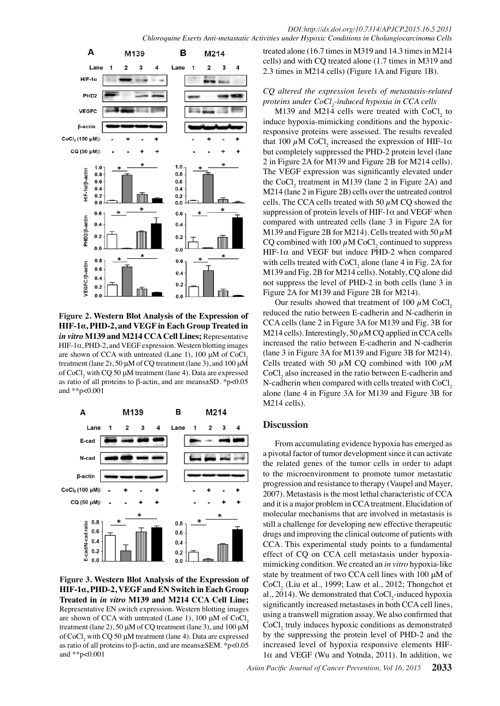

**Figure 2. Western Blot Analysis of the Expression of HIF-1α, PHD-2, and VEGF in Each Group Treated in**  *in vitro* **M139 and M214 CCA Cell Lines;** Representative  $HIF-1\alpha$ , PHD-2, and VEGF expression. Western blotting images are shown of CCA with untreated (Lane 1), 100  $\mu$ M of CoCl, treatment (lane 2), 50  $\mu$ M of CQ treatment (lane 3), and 100  $\mu$ M of  $CoCl_2$  with CQ 50  $\mu$ M treatment (lane 4). Data are expressed as ratio of all proteins to β-actin, and are means±SD. \*p<0.05 and \*\*p<0.001



**Figure 3. Western Blot Analysis of the Expression of HIF-1α, PHD-2, VEGF and EN Switch in Each Group Treated in** *in vitro* **M139 and M214 CCA Cell Line;**  Representative EN switch expression. Western blotting images are shown of CCA with untreated (Lane 1), 100  $\mu$ M of CoCl, treatment (lane 2), 50 μM of CQ treatment (lane 3), and 100 μM of  $CoCl<sub>2</sub>$  with CQ 50  $\mu$ M treatment (lane 4). Data are expressed as ratio of all proteins to β-actin, and are means±SEM. \*p<0.05 and \*\*p<0.001

treated alone (16.7 times in M319 and 14.3 times in M214 cells) and with CQ treated alone (1.7 times in M319 and 2.3 times in M214 cells) (Figure 1A and Figure 1B).

# *CQ altered the expression levels of metastasis-related proteins under CoCl2 -induced hypoxia in CCA cells*

M139 and M214 cells were treated with  $CoCl<sub>2</sub>$  to induce hypoxia-mimicking conditions and the hypoxicresponsive proteins were assessed. The results revealed that 100  $\mu$ M CoCl<sub>2</sub> increased the expression of HIF-1 $\alpha$ but completely suppressed the PHD-2 protein level (lane 2 in Figure 2A for M139 and Figure 2B for M214 cells). The VEGF expression was significantly elevated under the CoCl<sub>2</sub> treatment in M139 (lane 2 in Figure 2A) and M214 (lane 2 in Figure 2B) cells over the untreated control cells. The CCA cells treated with 50  $\mu$ M CQ showed the suppression of protein levels of HIF-1 $\alpha$  and VEGF when compared with untreated cells (lane 3 in Figure 2A for M139 and Figure 2B for M214). Cells treated with 50  $\mu$ M CQ combined with  $100 \mu$ M CoCl<sub>2</sub> continued to suppress HIF-1 $\alpha$  and VEGF but induce PHD-2 when compared with cells treated with  $CoCl<sub>2</sub>$  alone (lane 4 in Fig. 2A for M139 and Fig. 2B for M214 cells). Notably, CQ alone did not suppress the level of PHD-2 in both cells (lane 3 in Figure 2A for M139 and Figure 2B for M214).

Our results showed that treatment of 100  $\mu$ M CoCl<sub>2</sub> reduced the ratio between E-cadherin and N-cadherin in CCA cells (lane 2 in Figure 3A for M139 and Fig. 3B for M214 cells). Interestingly, 50  $\mu$ M CQ applied in CCA cells increased the ratio between E-cadherin and N-cadherin (lane 3 in Figure 3A for M139 and Figure 3B for M214). Cells treated with 50  $\mu$ M CQ combined with 100  $\mu$ M  $CoCl<sub>2</sub>$  also increased in the ratio between E-cadherin and N-cadherin when compared with cells treated with  $CoCl<sub>2</sub>$ alone (lane 4 in Figure 3A for M139 and Figure 3B for M214 cells).

## **Discussion**

From accumulating evidence hypoxia has emerged as a pivotal factor of tumor development since it can activate the related genes of the tumor cells in order to adapt to the microenvironment to promote tumor metastatic progression and resistance to therapy (Vaupel and Mayer, 2007). Metastasis is the most lethal characteristic of CCA and it is a major problem in CCA treatment. Elucidation of molecular mechanisms that are involved in metastasis is still a challenge for developing new effective therapeutic drugs and improving the clinical outcome of patients with CCA. This experimental study points to a fundamental effect of CQ on CCA cell metastasis under hypoxiamimicking condition. We created an *in vitro* hypoxia-like state by treatment of two CCA cell lines with 100 μM of  $CoCl<sub>2</sub>$  (Liu et al., 1999; Law et al., 2012; Thongchot et al., 2014). We demonstrated that  $CoCl<sub>2</sub>$ -induced hypoxia significantly increased metastases in both CCA cell lines, using a transwell migration assay. We also confirmed that  $CoCl<sub>2</sub>$  truly induces hypoxic conditions as demonstrated by the suppressing the protein level of PHD-2 and the increased level of hypoxia responsive elements HIF- $1\alpha$  and VEGF (Wu and Yotnda, 2011). In addition, we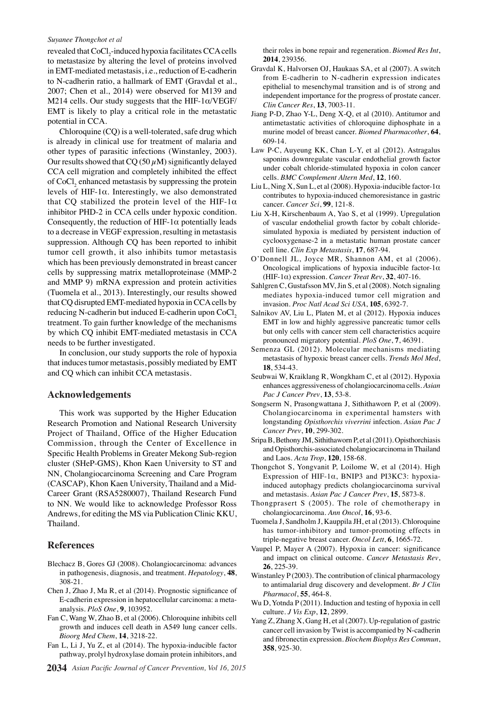#### *Suyanee Thongchot et al*

revealed that  $\mathrm{CoCl}_{2}$ -induced hypoxia facilitates CCA cells to metastasize by altering the level of proteins involved in EMT-mediated metastasis, i.e., reduction of E-cadherin to N-cadherin ratio, a hallmark of EMT (Gravdal et al., 2007; Chen et al., 2014) were observed for M139 and M214 cells. Our study suggests that the HIF-1α/VEGF/ EMT is likely to play a critical role in the metastatic potential in CCA.

Chloroquine (CQ) is a well-tolerated, safe drug which is already in clinical use for treatment of malaria and other types of parasitic infections (Winstanley, 2003). Our results showed that  $CQ(50 \mu M)$  significantly delayed CCA cell migration and completely inhibited the effect of CoCl<sub>2</sub> enhanced metastasis by suppressing the protein levels of HIF-1α. Interestingly, we also demonstrated that CQ stabilized the protein level of the HIF-1 $\alpha$ inhibitor PHD-2 in CCA cells under hypoxic condition. Consequently, the reduction of  $HIF-1\alpha$  potentially leads to a decrease in VEGF expression, resulting in metastasis suppression. Although CQ has been reported to inhibit tumor cell growth, it also inhibits tumor metastasis which has been previously demonstrated in breast cancer cells by suppressing matrix metalloproteinase (MMP-2 and MMP 9) mRNA expression and protein activities (Tuomela et al., 2013). Interestingly, our results showed that CQ disrupted EMT-mediated hypoxia in CCA cells by reducing N-cadherin but induced E-cadherin upon CoCl<sub>2</sub> treatment. To gain further knowledge of the mechanisms by which CQ inhibit EMT-mediated metastasis in CCA needs to be further investigated.

In conclusion, our study supports the role of hypoxia that induces tumor metastasis, possibly mediated by EMT and CQ which can inhibit CCA metastasis.

### **Acknowledgements**

This work was supported by the Higher Education Research Promotion and National Research University Project of Thailand, Office of the Higher Education Commission, through the Center of Excellence in Specific Health Problems in Greater Mekong Sub-region cluster (SHeP-GMS), Khon Kaen University to ST and NN, Cholangiocarcinoma Screening and Care Program (CASCAP), Khon Kaen University, Thailand and a Mid-Career Grant (RSA5280007), Thailand Research Fund to NN. We would like to acknowledge Professor Ross Andrews, for editing the MS via Publication Clinic KKU, Thailand.

## **References**

- Blechacz B, Gores GJ (2008). Cholangiocarcinoma: advances in pathogenesis, diagnosis, and treatment. *Hepatology*, **48**, 308-21.
- Chen J, Zhao J, Ma R, et al (2014). Prognostic significance of E-cadherin expression in hepatocellular carcinoma: a metaanalysis. *PloS One*, **9**, 103952.
- Fan C, Wang W, Zhao B, et al (2006). Chloroquine inhibits cell growth and induces cell death in A549 lung cancer cells. *Bioorg Med Chem*, **14**, 3218-22.
- Fan L, Li J, Yu Z, et al (2014). The hypoxia-inducible factor pathway, prolyl hydroxylase domain protein inhibitors, and
- **2034** *Asian Pacific Journal of Cancer Prevention, Vol 16, 2015*

their roles in bone repair and regeneration. *Biomed Res Int*, **2014**, 239356.

- Gravdal K, Halvorsen OJ, Haukaas SA, et al (2007). A switch from E-cadherin to N-cadherin expression indicates epithelial to mesenchymal transition and is of strong and independent importance for the progress of prostate cancer. *Clin Cancer Res*, **13**, 7003-11.
- Jiang P-D, Zhao Y-L, Deng X-Q, et al (2010). Antitumor and antimetastatic activities of chloroquine diphosphate in a murine model of breast cancer. *Biomed Pharmacother*, **64**, 609-14.
- Law P-C, Auyeung KK, Chan L-Y, et al (2012). Astragalus saponins downregulate vascular endothelial growth factor under cobalt chloride-stimulated hypoxia in colon cancer cells. *BMC Complement Altern Med*, **12**, 160.
- Liu L, Ning X, Sun L, et al (2008). Hypoxia-inducible factor-1 $\alpha$ contributes to hypoxia-induced chemoresistance in gastric cancer. *Cancer Sci*, **99**, 121-8.
- Liu X-H, Kirschenbaum A, Yao S, et al (1999). Upregulation of vascular endothelial growth factor by cobalt chloridesimulated hypoxia is mediated by persistent induction of cyclooxygenase-2 in a metastatic human prostate cancer cell line. *Clin Exp Metastasis*, **17**, 687-94.
- O'Donnell JL, Joyce MR, Shannon AM, et al (2006). Oncological implications of hypoxia inducible factor-1α (HIF-1α) expression. *Cancer Treat Rev*, **32**, 407-16.
- Sahlgren C, Gustafsson MV, Jin S, et al (2008). Notch signaling mediates hypoxia-induced tumor cell migration and invasion. *Proc Natl Acad Sci USA*, **105**, 6392-7.
- Salnikov AV, Liu L, Platen M, et al (2012). Hypoxia induces EMT in low and highly aggressive pancreatic tumor cells but only cells with cancer stem cell characteristics acquire pronounced migratory potential. *PloS One*, **7**, 46391.
- Semenza GL (2012). Molecular mechanisms mediating metastasis of hypoxic breast cancer cells. *Trends Mol Med*, **18**, 534-43.
- Seubwai W, Kraiklang R, Wongkham C, et al (2012). Hypoxia enhances aggressiveness of cholangiocarcinoma cells. *Asian Pac J Cancer Prev*, **13**, 53-8.
- Songserm N, Prasongwattana J, Sithithaworn P, et al (2009). Cholangiocarcinoma in experimental hamsters with longstanding *Opisthorchis viverrini* infection. *Asian Pac J Cancer Prev*, **10**, 299-302.
- Sripa B, Bethony JM, Sithithaworn P, et al (2011). Opisthorchiasis and Opisthorchis-associated cholangiocarcinoma in Thailand and Laos. *Acta Trop*, **120**, 158-68.
- Thongchot S, Yongvanit P, Loilome W, et al (2014). High Expression of HIF-1α, BNIP3 and PI3KC3: hypoxiainduced autophagy predicts cholangiocarcinoma survival and metastasis. *Asian Pac J Cancer Prev*, **15**, 5873-8.
- Thongprasert S (2005). The role of chemotherapy in cholangiocarcinoma. *Ann Oncol*, **16**, 93-6.
- Tuomela J, Sandholm J, Kauppila JH, et al (2013). Chloroquine has tumor-inhibitory and tumor-promoting effects in triple‑negative breast cancer. *Oncol Lett*, **6**, 1665-72.
- Vaupel P, Mayer A (2007). Hypoxia in cancer: significance and impact on clinical outcome. *Cancer Metastasis Rev*, **26**, 225-39.
- Winstanley P (2003). The contribution of clinical pharmacology to antimalarial drug discovery and development. *Br J Clin Pharmacol*, **55**, 464-8.
- Wu D, Yotnda P (2011). Induction and testing of hypoxia in cell culture. *J Vis Exp*, **12**, 2899.
- Yang Z, Zhang X, Gang H, et al (2007). Up-regulation of gastric cancer cell invasion by Twist is accompanied by N-cadherin and fibronectin expression. *Biochem Biophys Res Commun*, **358**, 925-30.